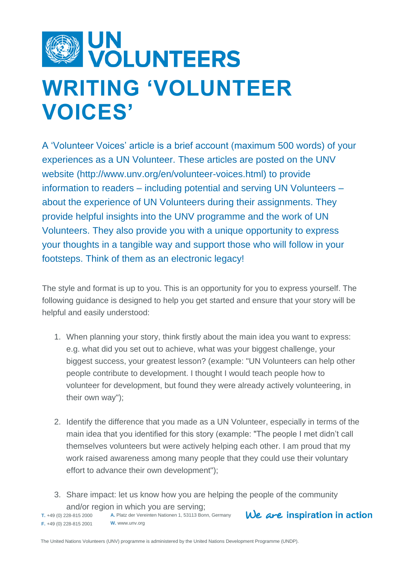

## **WRITING 'VOLUNTEER VOICES'**

A 'Volunteer Voices' article is a brief account (maximum 500 words) of your experiences as a UN Volunteer. These articles are posted on the UNV website (http://www.unv.org/en/volunteer-voices.html) to provide information to readers – including potential and serving UN Volunteers – about the experience of UN Volunteers during their assignments. They provide helpful insights into the UNV programme and the work of UN Volunteers. They also provide you with a unique opportunity to express your thoughts in a tangible way and support those who will follow in your footsteps. Think of them as an electronic legacy!

The style and format is up to you. This is an opportunity for you to express yourself. The following guidance is designed to help you get started and ensure that your story will be helpful and easily understood:

- 1. When planning your story, think firstly about the main idea you want to express: e.g. what did you set out to achieve, what was your biggest challenge, your biggest success, your greatest lesson? (example: "UN Volunteers can help other people contribute to development. I thought I would teach people how to volunteer for development, but found they were already actively volunteering, in their own way");
- 2. Identify the difference that you made as a UN Volunteer, especially in terms of the main idea that you identified for this story (example: "The people I met didn't call themselves volunteers but were actively helping each other. I am proud that my work raised awareness among many people that they could use their voluntary effort to advance their own development");
- **A.** Platz der Vereinten Nationen 1, 53113 Bonn, Germany 3. Share impact: let us know how you are helping the people of the community and/or region in which you are serving;

**T.** +49 (0) 228-815 2000 **F.** +49 (0) 228-815 2001 **W.** www.unv.org  $We$  are inspiration in action